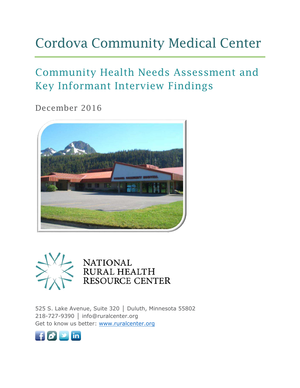# Cordova Community Medical Center

## Community Health Needs Assessment and Key Informant Interview Findings

December 2016





525 S. Lake Avenue, Suite 320 | Duluth, Minnesota 55802 218-727-9390 │ info@ruralcenter.org Get to know us better: [www.ruralcenter.org](http://www.ruralcenter.org/)

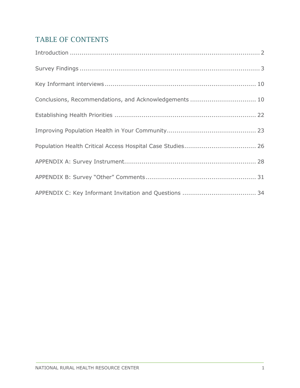### TABLE OF CONTENTS

| Conclusions, Recommendations, and Acknowledgements  10 |
|--------------------------------------------------------|
|                                                        |
|                                                        |
|                                                        |
|                                                        |
|                                                        |
|                                                        |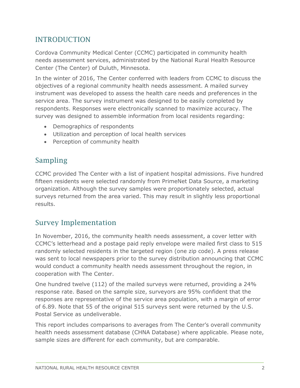### <span id="page-2-0"></span>INTRODUCTION

Cordova Community Medical Center (CCMC) participated in community health needs assessment services, administrated by the National Rural Health Resource Center (The Center) of Duluth, Minnesota.

In the winter of 2016, The Center conferred with leaders from CCMC to discuss the objectives of a regional community health needs assessment. A mailed survey instrument was developed to assess the health care needs and preferences in the service area. The survey instrument was designed to be easily completed by respondents. Responses were electronically scanned to maximize accuracy. The survey was designed to assemble information from local residents regarding:

- Demographics of respondents
- Utilization and perception of local health services
- Perception of community health

### Sampling

CCMC provided The Center with a list of inpatient hospital admissions. Five hundred fifteen residents were selected randomly from PrimeNet Data Source, a marketing organization. Although the survey samples were proportionately selected, actual surveys returned from the area varied. This may result in slightly less proportional results.

### Survey Implementation

In November, 2016, the community health needs assessment, a cover letter with CCMC's letterhead and a postage paid reply envelope were mailed first class to 515 randomly selected residents in the targeted region (one zip code). A press release was sent to local newspapers prior to the survey distribution announcing that CCMC would conduct a community health needs assessment throughout the region, in cooperation with The Center.

One hundred twelve (112) of the mailed surveys were returned, providing a 24% response rate. Based on the sample size, surveyors are 95% confident that the responses are representative of the service area population, with a margin of error of 6.89. Note that 55 of the original 515 surveys sent were returned by the U.S. Postal Service as undeliverable.

This report includes comparisons to averages from The Center's overall community health needs assessment database (CHNA Database) where applicable. Please note, sample sizes are different for each community, but are comparable.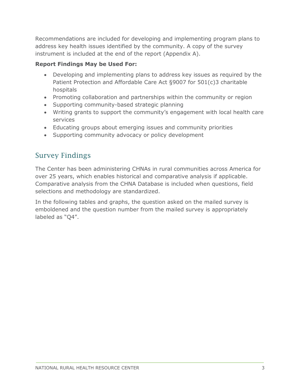Recommendations are included for developing and implementing program plans to address key health issues identified by the community. A copy of the survey instrument is included at the end of the report (Appendix A).

### **Report Findings May be Used For:**

- Developing and implementing plans to address key issues as required by the Patient Protection and Affordable Care Act §9007 for 501(c)3 charitable hospitals
- Promoting collaboration and partnerships within the community or region
- Supporting community-based strategic planning
- Writing grants to support the community's engagement with local health care services
- Educating groups about emerging issues and community priorities
- Supporting community advocacy or policy development

### <span id="page-3-0"></span>Survey Findings

The Center has been administering CHNAs in rural communities across America for over 25 years, which enables historical and comparative analysis if applicable. Comparative analysis from the CHNA Database is included when questions, field selections and methodology are standardized.

In the following tables and graphs, the question asked on the mailed survey is emboldened and the question number from the mailed survey is appropriately labeled as "Q4".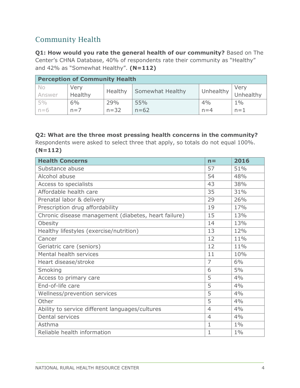### Community Health

**Q1: How would you rate the general health of our community?** Based on The Center's CHNA Database, 40% of respondents rate their community as "Healthy" and 42% as "Somewhat Healthy". **(N=112)**

|        | <b>Perception of Community Health</b> |          |                         |           |           |  |  |  |  |  |
|--------|---------------------------------------|----------|-------------------------|-----------|-----------|--|--|--|--|--|
| No.    | Very                                  | Healthy  | <b>Somewhat Healthy</b> | Unhealthy | Very      |  |  |  |  |  |
| Answer | Healthy                               |          |                         |           | Unhealthy |  |  |  |  |  |
| 5%     | 6%                                    | 29%      | 55%                     | 4%        | $1\%$     |  |  |  |  |  |
| $n=6$  | $n=7$                                 | $n = 32$ | $n = 62$                | $n=4$     | $n=1$     |  |  |  |  |  |

### **Q2: What are the three most pressing health concerns in the community?**

Respondents were asked to select three that apply, so totals do not equal 100%. **(N=112)**

| <b>Health Concerns</b>                               | $n =$          | 2016  |
|------------------------------------------------------|----------------|-------|
| Substance abuse                                      | 57             | 51%   |
| Alcohol abuse                                        | 54             | 48%   |
| Access to specialists                                | 43             | 38%   |
| Affordable health care                               | 35             | 31%   |
| Prenatal labor & delivery                            | 29             | 26%   |
| Prescription drug affordability                      | 19             | 17%   |
| Chronic disease management (diabetes, heart failure) | 15             | 13%   |
| Obesity                                              | 14             | 13%   |
| Healthy lifestyles (exercise/nutrition)              | 13             | 12%   |
| Cancer                                               | 12             | 11%   |
| Geriatric care (seniors)                             | 12             | 11%   |
| Mental health services                               | 11             | 10%   |
| Heart disease/stroke                                 | $\overline{7}$ | 6%    |
| Smoking                                              | 6              | 5%    |
| Access to primary care                               | 5              | 4%    |
| End-of-life care                                     | 5              | 4%    |
| Wellness/prevention services                         | 5              | 4%    |
| Other                                                | 5              | 4%    |
| Ability to service different languages/cultures      | $\overline{4}$ | 4%    |
| Dental services                                      | $\overline{4}$ | 4%    |
| Asthma                                               | $\mathbf{1}$   | $1\%$ |
| Reliable health information                          | $\mathbf{1}$   | $1\%$ |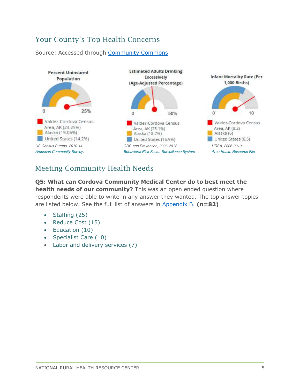### Your County's Top Health Concerns

#### Source: Accessed through [Community Commons](http://assessment.communitycommons.org/CHNA/report?reporttype=libraryCHNA)



### Meeting Community Health Needs

**Q5: What can Cordova Community Medical Center do to best meet the health needs of our community?** This was an open ended question where respondents were able to write in any answer they wanted. The top answer topics are listed below. See the full list of answers in Appendix B. **(n=82)** 

- Staffing  $(25)$
- Reduce Cost (15)
- Education (10)
- Specialist Care (10)
- Labor and delivery services (7)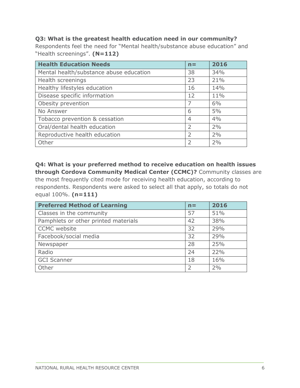#### **Q3: What is the greatest health education need in our community?**

Respondents feel the need for "Mental health/substance abuse education" and "Health screenings". **(N=112)** 

| <b>Health Education Needs</b>           | $n =$          | 2016 |
|-----------------------------------------|----------------|------|
| Mental health/substance abuse education | 38             | 34%  |
| Health screenings                       | 23             | 21%  |
| Healthy lifestyles education            | 16             | 14%  |
| Disease specific information            | 12             | 11%  |
| Obesity prevention                      | 7              | 6%   |
| No Answer                               | 6              | 5%   |
| Tobacco prevention & cessation          | $\overline{4}$ | 4%   |
| Oral/dental health education            | 2              | 2%   |
| Reproductive health education           | $\overline{2}$ | 2%   |
| Other                                   | $\overline{2}$ | 2%   |

**Q4: What is your preferred method to receive education on health issues through Cordova Community Medical Center (CCMC)?** Community classes are the most frequently cited mode for receiving health education, according to respondents. Respondents were asked to select all that apply, so totals do not equal 100%. **(n=111)** 

| <b>Preferred Method of Learning</b>  | $n =$ | 2016 |
|--------------------------------------|-------|------|
| Classes in the community             | 57    | 51%  |
| Pamphlets or other printed materials | 42    | 38%  |
| <b>CCMC</b> website                  | 32    | 29%  |
| Facebook/social media                | 32    | 29%  |
| Newspaper                            | 28    | 25%  |
| Radio                                | 24    | 22%  |
| <b>GCI Scanner</b>                   | 18    | 16%  |
| Other                                | 2     | 2%   |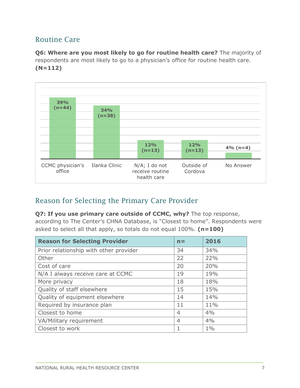### Routine Care

**Q6: Where are you most likely to go for routine health care?** The majority of respondents are most likely to go to a physician's office for routine health care. **(N=112)**



### Reason for Selecting the Primary Care Provider

**Q7: If you use primary care outside of CCMC, why?** The top response, according to The Center's CHNA Database, is "Closest to home". Respondents were asked to select all that apply, so totals do not equal 100%. **(n=100)** 

| <b>Reason for Selecting Provider</b>   | $n =$          | 2016  |
|----------------------------------------|----------------|-------|
| Prior relationship with other provider | 34             | 34%   |
| Other                                  | 22             | 22%   |
| Cost of care                           | 20             | 20%   |
| N/A I always receive care at CCMC      | 19             | 19%   |
| More privacy                           | 18             | 18%   |
| Quality of staff elsewhere             | 15             | 15%   |
| Quality of equipment elsewhere         | 14             | 14%   |
| Required by insurance plan             | 11             | 11%   |
| Closest to home                        | $\overline{4}$ | 4%    |
| VA/Military requirement                | $\overline{4}$ | 4%    |
| Closest to work                        | 1              | $1\%$ |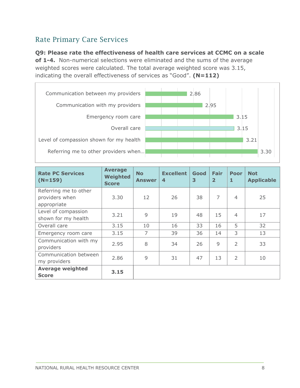### Rate Primary Care Services

#### **Q9: Please rate the effectiveness of health care services at CCMC on a scale**

**of 1-4.** Non-numerical selections were eliminated and the sums of the average weighted scores were calculated. The total average weighted score was 3.15, indicating the overall effectiveness of services as "Good". **(N=112)**



| <b>Rate PC Services</b><br>$(N=159)$       | <b>Average</b><br><b>Weighted</b><br><b>Score</b> | <b>No</b><br><b>Answer</b> | <b>Excellent</b><br>$\overline{4}$ | Good<br>3 | Fair<br>$\overline{2}$ | <b>Poor</b><br>1 | <b>Not</b><br><b>Applicable</b> |
|--------------------------------------------|---------------------------------------------------|----------------------------|------------------------------------|-----------|------------------------|------------------|---------------------------------|
| Referring me to other<br>providers when    | 3.30                                              | 12                         | 26                                 | 38        | 7                      | $\overline{4}$   | 25                              |
| appropriate                                |                                                   |                            |                                    |           |                        |                  |                                 |
| Level of compassion<br>shown for my health | 3.21                                              | 9                          | 19                                 | 48        | 15                     | $\overline{4}$   | 17                              |
| Overall care                               | 3.15                                              | 10                         | 16                                 | 33        | 16                     | 5                | 32                              |
| Emergency room care                        | 3.15                                              | $\overline{7}$             | 39                                 | 36        | 14                     | 3                | 13                              |
| Communication with my<br>providers         | 2.95                                              | 8                          | 34                                 | 26        | 9                      | $\overline{2}$   | 33                              |
| Communication between<br>my providers      | 2.86                                              | 9                          | 31                                 | 47        | 13                     | $\overline{2}$   | 10                              |
| <b>Average weighted</b><br><b>Score</b>    | 3.15                                              |                            |                                    |           |                        |                  |                                 |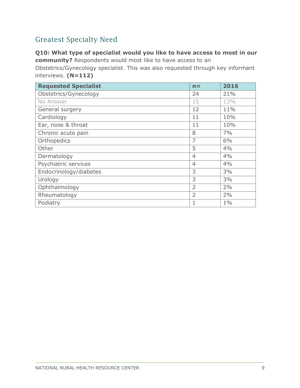### Greatest Specialty Need

### **Q10: What type of specialist would you like to have access to most in our community?** Respondents would most like to have access to an

Obstetrics/Gynecology specialist. This was also requested through key informant interviews. **(N=112)** 

| <b>Requested Specialist</b> | $n =$          | 2016  |
|-----------------------------|----------------|-------|
| Obstetrics/Gynecology       | 24             | 21%   |
| No Answer                   | 15             | 13%   |
| General surgery             | 12             | 11%   |
| Cardiology                  | 11             | 10%   |
| Ear, nose & throat          | 11             | 10%   |
| Chronic acute pain          | 8              | 7%    |
| Orthopedics                 | $\overline{7}$ | 6%    |
| Other                       | 5              | 4%    |
| Dermatology                 | $\overline{4}$ | 4%    |
| Psychiatric services        | $\overline{4}$ | 4%    |
| Endocrinology/diabetes      | 3              | 3%    |
| Urology                     | 3              | 3%    |
| Ophthalmology               | $\overline{2}$ | 2%    |
| Rheumatology                | $\overline{2}$ | 2%    |
| Podiatry                    | 1              | $1\%$ |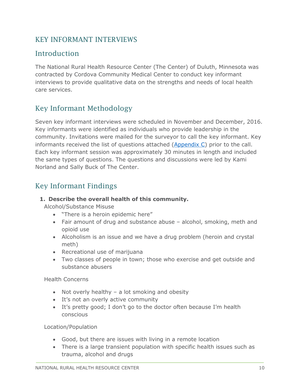### <span id="page-10-0"></span>KEY INFORMANT INTERVIEWS

### Introduction

The National Rural Health Resource Center (The Center) of Duluth, Minnesota was contracted by Cordova Community Medical Center to conduct key informant interviews to provide qualitative data on the strengths and needs of local health care services.

### Key Informant Methodology

Seven key informant interviews were scheduled in November and December, 2016. Key informants were identified as individuals who provide leadership in the community. Invitations were mailed for the surveyor to call the key informant. Key informants received the list of questions attached [\(Appendix C\)](#page-34-0) prior to the call. Each key informant session was approximately 30 minutes in length and included the same types of questions. The questions and discussions were led by Kami Norland and Sally Buck of The Center.

### Key Informant Findings

#### <span id="page-10-1"></span>**1. Describe the overall health of this community.**

Alcohol/Substance Misuse

- "There is a heroin epidemic here"
- Fair amount of drug and substance abuse alcohol, smoking, meth and opioid use
- Alcoholism is an issue and we have a drug problem (heroin and crystal meth)
- Recreational use of marijuana
- Two classes of people in town; those who exercise and get outside and substance abusers

Health Concerns

- Not overly healthy  $-$  a lot smoking and obesity
- It's not an overly active community
- It's pretty good; I don't go to the doctor often because I'm health conscious

Location/Population

- Good, but there are issues with living in a remote location
- There is a large transient population with specific health issues such as trauma, alcohol and drugs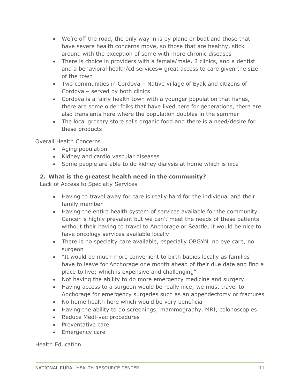- We're off the road, the only way in is by plane or boat and those that have severe health concerns move, so those that are healthy, stick around with the exception of some with more chronic diseases
- There is choice in providers with a female/male, 2 clinics, and a dentist and a behavioral health/cd services= great access to care given the size of the town
- Two communities in Cordova Native village of Eyak and citizens of Cordova – served by both clinics
- Cordova is a fairly health town with a younger population that fishes, there are some older folks that have lived here for generations, there are also transients here where the population doubles in the summer
- The local grocery store sells organic food and there is a need/desire for these products

Overall Health Concerns

- Aging population
- Kidney and cardio vascular diseases
- Some people are able to do kidney dialysis at home which is nice

#### **2. What is the greatest health need in the community?**

Lack of Access to Specialty Services

- Having to travel away for care is really hard for the individual and their family member
- Having the entire health system of services available for the community Cancer is highly prevalent but we can't meet the needs of these patients without their having to travel to Anchorage or Seattle, it would be nice to have oncology services available locally
- There is no specialty care available, especially OBGYN, no eye care, no surgeon
- "It would be much more convenient to birth babies locally as families have to leave for Anchorage one month ahead of their due date and find a place to live; which is expensive and challenging"
- Not having the ability to do more emergency medicine and surgery
- Having access to a surgeon would be really nice; we must travel to Anchorage for emergency surgeries such as an appendectomy or fractures
- No home health here which would be very beneficial
- Having the ability to do screenings; mammography, MRI, colonoscopies
- Reduce Medi-vac procedures
- Preventative care
- Emergency care

Health Education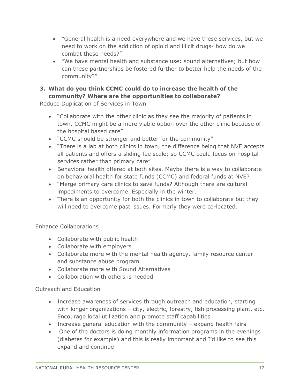- "General health is a need everywhere and we have these services, but we need to work on the addiction of opioid and illicit drugs- how do we combat these needs?"
- "We have mental health and substance use: sound alternatives; but how can these partnerships be fostered further to better help the needs of the community?"

### **3. What do you think CCMC could do to increase the health of the community? Where are the opportunities to collaborate?**

Reduce Duplication of Services in Town

- "Collaborate with the other clinic as they see the majority of patients in town. CCMC might be a more viable option over the other clinic because of the hospital based care"
- "CCMC should be stronger and better for the community"
- "There is a lab at both clinics in town; the difference being that NVE accepts all patients and offers a sliding fee scale; so CCMC could focus on hospital services rather than primary care"
- Behavioral health offered at both sites. Maybe there is a way to collaborate on behavioral health for state funds (CCMC) and federal funds at NVE?
- "Merge primary care clinics to save funds? Although there are cultural impediments to overcome. Especially in the winter.
- There is an opportunity for both the clinics in town to collaborate but they will need to overcome past issues. Formerly they were co-located.

Enhance Collaborations

- Collaborate with public health
- Collaborate with employers
- Collaborate more with the mental health agency, family resource center and substance abuse program
- Collaborate more with Sound Alternatives
- Collaboration with others is needed

Outreach and Education

- Increase awareness of services through outreach and education, starting with longer organizations – city, electric, forestry, fish processing plant, etc. Encourage local utilization and promote staff capabilities
- Increase general education with the community expand health fairs
- One of the doctors is doing monthly information programs in the evenings (diabetes for example) and this is really important and I'd like to see this expand and continue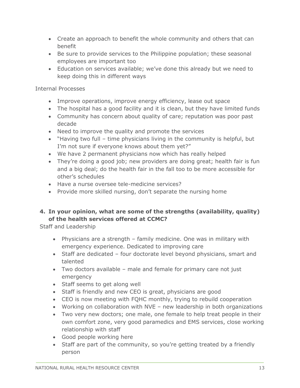- Create an approach to benefit the whole community and others that can benefit
- Be sure to provide services to the Philippine population; these seasonal employees are important too
- Education on services available; we've done this already but we need to keep doing this in different ways

#### Internal Processes

- Improve operations, improve energy efficiency, lease out space
- The hospital has a good facility and it is clean, but they have limited funds
- Community has concern about quality of care; reputation was poor past decade
- Need to improve the quality and promote the services
- "Having two full time physicians living in the community is helpful, but I'm not sure if everyone knows about them yet?"
- We have 2 permanent physicians now which has really helped
- They're doing a good job; new providers are doing great; health fair is fun and a big deal; do the health fair in the fall too to be more accessible for other's schedules
- Have a nurse oversee tele-medicine services?
- Provide more skilled nursing, don't separate the nursing home

### **4. In your opinion, what are some of the strengths (availability, quality) of the health services offered at CCMC?**

Staff and Leadership

- Physicians are a strength family medicine. One was in military with emergency experience. Dedicated to improving care
- Staff are dedicated four doctorate level beyond physicians, smart and talented
- Two doctors available male and female for primary care not just emergency
- Staff seems to get along well
- Staff is friendly and new CEO is great, physicians are good
- CEO is now meeting with FQHC monthly, trying to rebuild cooperation
- Working on collaboration with NVE new leadership in both organizations
- Two very new doctors; one male, one female to help treat people in their own comfort zone, very good paramedics and EMS services, close working relationship with staff
- Good people working here
- Staff are part of the community, so you're getting treated by a friendly person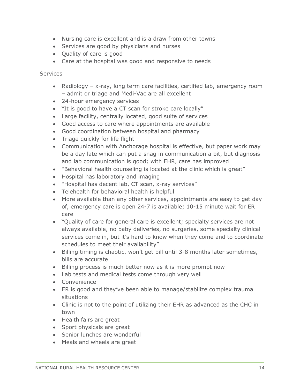- Nursing care is excellent and is a draw from other towns
- Services are good by physicians and nurses
- Quality of care is good
- Care at the hospital was good and responsive to needs

**Services** 

- Radiology x-ray, long term care facilities, certified lab, emergency room – admit or triage and Medi-Vac are all excellent
- 24-hour emergency services
- "It is good to have a CT scan for stroke care locally"
- Large facility, centrally located, good suite of services
- Good access to care where appointments are available
- Good coordination between hospital and pharmacy
- Triage quickly for life flight
- Communication with Anchorage hospital is effective, but paper work may be a day late which can put a snag in communication a bit, but diagnosis and lab communication is good; with EHR, care has improved
- "Behavioral health counseling is located at the clinic which is great"
- Hospital has laboratory and imaging
- "Hospital has decent lab, CT scan, x-ray services"
- Telehealth for behavioral health is helpful
- More available than any other services, appointments are easy to get day of, emergency care is open 24-7 is available; 10-15 minute wait for ER care
- "Quality of care for general care is excellent; specialty services are not always available, no baby deliveries, no surgeries, some specialty clinical services come in, but it's hard to know when they come and to coordinate schedules to meet their availability"
- Billing timing is chaotic, won't get bill until 3-8 months later sometimes, bills are accurate
- Billing process is much better now as it is more prompt now
- Lab tests and medical tests come through very well
- Convenience
- ER is good and they've been able to manage/stabilize complex trauma situations
- Clinic is not to the point of utilizing their EHR as advanced as the CHC in town
- Health fairs are great
- Sport physicals are great
- Senior lunches are wonderful
- Meals and wheels are great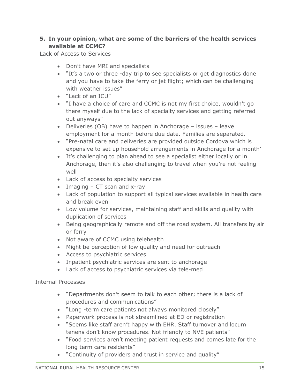#### **5. In your opinion, what are some of the barriers of the health services available at CCMC?**

Lack of Access to Services

- Don't have MRI and specialists
- "It's a two or three -day trip to see specialists or get diagnostics done and you have to take the ferry or jet flight; which can be challenging with weather issues"
- "Lack of an ICU"
- "I have a choice of care and CCMC is not my first choice, wouldn't go there myself due to the lack of specialty services and getting referred out anyways"
- Deliveries (OB) have to happen in Anchorage issues leave employment for a month before due date. Families are separated.
- "Pre-natal care and deliveries are provided outside Cordova which is expensive to set up household arrangements in Anchorage for a month'
- It's challenging to plan ahead to see a specialist either locally or in Anchorage, then it's also challenging to travel when you're not feeling well
- Lack of access to specialty services
- Imaging  $-$  CT scan and x-ray
- Lack of population to support all typical services available in health care and break even
- Low volume for services, maintaining staff and skills and quality with duplication of services
- Being geographically remote and off the road system. All transfers by air or ferry
- Not aware of CCMC using telehealth
- Might be perception of low quality and need for outreach
- Access to psychiatric services
- Inpatient psychiatric services are sent to anchorage
- Lack of access to psychiatric services via tele-med

#### Internal Processes

- "Departments don't seem to talk to each other; there is a lack of procedures and communications"
- "Long -term care patients not always monitored closely"
- Paperwork process is not streamlined at ED or registration
- "Seems like staff aren't happy with EHR. Staff turnover and locum tenens don't know procedures. Not friendly to NVE patients"
- "Food services aren't meeting patient requests and comes late for the long term care residents"
- "Continuity of providers and trust in service and quality"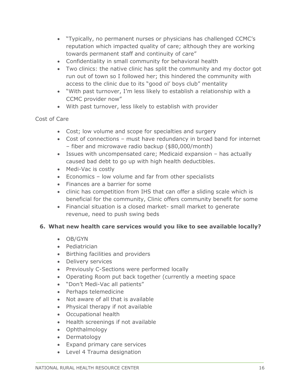- "Typically, no permanent nurses or physicians has challenged CCMC's reputation which impacted quality of care; although they are working towards permanent staff and continuity of care"
- Confidentiality in small community for behavioral health
- Two clinics: the native clinic has split the community and my doctor got run out of town so I followed her; this hindered the community with access to the clinic due to its "good ol' boys club" mentality
- "With past turnover, I'm less likely to establish a relationship with a CCMC provider now"
- With past turnover, less likely to establish with provider

#### Cost of Care

- Cost; low volume and scope for specialties and surgery
- Cost of connections must have redundancy in broad band for internet – fiber and microwave radio backup (\$80,000/month)
- Issues with uncompensated care; Medicaid expansion has actually caused bad debt to go up with high health deductibles.
- Medi-Vac is costly
- Economics low volume and far from other specialists
- Finances are a barrier for some
- clinic has competition from IHS that can offer a sliding scale which is beneficial for the community, Clinic offers community benefit for some
- Financial situation is a closed market- small market to generate revenue, need to push swing beds

#### **6. What new health care services would you like to see available locally?**

- OB/GYN
- Pediatrician
- Birthing facilities and providers
- Delivery services
- Previously C-Sections were performed locally
- Operating Room put back together (currently a meeting space
- "Don't Medi-Vac all patients"
- Perhaps telemedicine
- Not aware of all that is available
- Physical therapy if not available
- Occupational health
- Health screenings if not available
- Ophthalmology
- Dermatology
- Expand primary care services
- Level 4 Trauma designation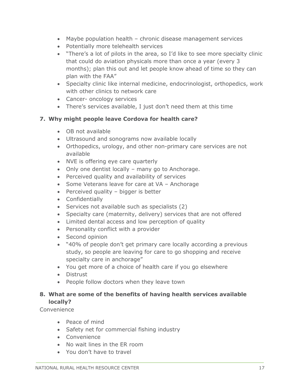- Maybe population health chronic disease management services
- Potentially more telehealth services
- "There's a lot of pilots in the area, so I'd like to see more specialty clinic that could do aviation physicals more than once a year (every 3 months); plan this out and let people know ahead of time so they can plan with the FAA"
- Specialty clinic like internal medicine, endocrinologist, orthopedics, work with other clinics to network care
- Cancer- oncology services
- There's services available, I just don't need them at this time

#### **7. Why might people leave Cordova for health care?**

- OB not available
- Ultrasound and sonograms now available locally
- Orthopedics, urology, and other non-primary care services are not available
- NVE is offering eye care quarterly
- Only one dentist locally many go to Anchorage.
- Perceived quality and availability of services
- Some Veterans leave for care at VA Anchorage
- $\bullet$  Perceived quality bigger is better
- Confidentially
- Services not available such as specialists (2)
- Specialty care (maternity, delivery) services that are not offered
- Limited dental access and low perception of quality
- Personality conflict with a provider
- Second opinion
- "40% of people don't get primary care locally according a previous study, so people are leaving for care to go shopping and receive specialty care in anchorage"
- You get more of a choice of health care if you go elsewhere
- Distrust
- People follow doctors when they leave town

#### **8. What are some of the benefits of having health services available locally?**

Convenience

- Peace of mind
- Safety net for commercial fishing industry
- Convenience
- No wait lines in the ER room
- You don't have to travel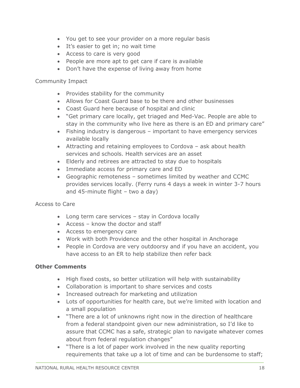- You get to see your provider on a more regular basis
- It's easier to get in; no wait time
- Access to care is very good
- People are more apt to get care if care is available
- Don't have the expense of living away from home

#### Community Impact

- Provides stability for the community
- Allows for Coast Guard base to be there and other businesses
- Coast Guard here because of hospital and clinic
- "Get primary care locally, get triaged and Med-Vac. People are able to stay in the community who live here as there is an ED and primary care"
- Fishing industry is dangerous important to have emergency services available locally
- Attracting and retaining employees to Cordova ask about health services and schools. Health services are an asset
- Elderly and retirees are attracted to stay due to hospitals
- Immediate access for primary care and ED
- Geographic remoteness sometimes limited by weather and CCMC provides services locally. (Ferry runs 4 days a week in winter 3-7 hours and 45-minute flight – two a day)

#### Access to Care

- Long term care services stay in Cordova locally
- Access know the doctor and staff
- Access to emergency care
- Work with both Providence and the other hospital in Anchorage
- People in Cordova are very outdoorsy and if you have an accident, you have access to an ER to help stabilize then refer back

#### **Other Comments**

- High fixed costs, so better utilization will help with sustainability
- Collaboration is important to share services and costs
- Increased outreach for marketing and utilization
- Lots of opportunities for health care, but we're limited with location and a small population
- "There are a lot of unknowns right now in the direction of healthcare from a federal standpoint given our new administration, so I'd like to assure that CCMC has a safe, strategic plan to navigate whatever comes about from federal regulation changes"
- "There is a lot of paper work involved in the new quality reporting requirements that take up a lot of time and can be burdensome to staff;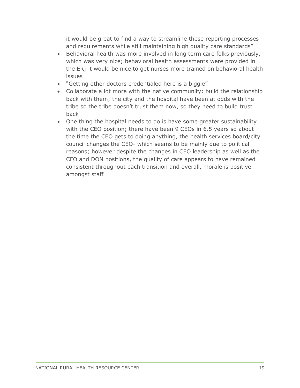it would be great to find a way to streamline these reporting processes and requirements while still maintaining high quality care standards"

- Behavioral health was more involved in long term care folks previously, which was very nice; behavioral health assessments were provided in the ER; it would be nice to get nurses more trained on behavioral health issues
- "Getting other doctors credentialed here is a biggie"
- Collaborate a lot more with the native community: build the relationship back with them; the city and the hospital have been at odds with the tribe so the tribe doesn't trust them now, so they need to build trust back
- One thing the hospital needs to do is have some greater sustainability with the CEO position; there have been 9 CEOs in 6.5 years so about the time the CEO gets to doing anything, the health services board/city council changes the CEO- which seems to be mainly due to political reasons; however despite the changes in CEO leadership as well as the CFO and DON positions, the quality of care appears to have remained consistent throughout each transition and overall, morale is positive amongst staff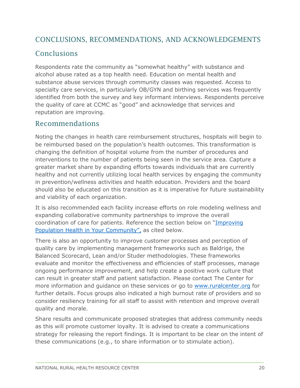### CONCLUSIONS, RECOMMENDATIONS, AND ACKNOWLEDGEMENTS

### **Conclusions**

Respondents rate the community as "somewhat healthy" with substance and alcohol abuse rated as a top health need. Education on mental health and substance abuse services through community classes was requested. Access to specialty care services, in particularly OB/GYN and birthing services was frequently identified from both the survey and key informant interviews. Respondents perceive the quality of care at CCMC as "good" and acknowledge that services and reputation are improving.

### Recommendations

Noting the changes in health care reimbursement structures, hospitals will begin to be reimbursed based on the population's health outcomes. This transformation is changing the definition of hospital volume from the number of procedures and interventions to the number of patients being seen in the service area. Capture a greater market share by expanding efforts towards individuals that are currently healthy and not currently utilizing local health services by engaging the community in prevention/wellness activities and health education. Providers and the board should also be educated on this transition as it is imperative for future sustainability and viability of each organization.

It is also recommended each facility increase efforts on role modeling wellness and expanding collaborative community partnerships to improve the overall coordination of care for patients. Reference the section below on "[Improving](#page-23-0)  [Population Health in Your Community](#page-23-0)", as cited below.

There is also an opportunity to improve customer processes and perception of quality care by implementing management frameworks such as Baldrige, the Balanced Scorecard, Lean and/or Studer methodologies. These frameworks evaluate and monitor the effectiveness and efficiencies of staff processes, manage ongoing performance improvement, and help create a positive work culture that can result in greater staff and patient satisfaction. Please contact The Center for more information and guidance on these services or go to [www.ruralcenter.org](http://www.ruralcenter.org/) for further details. Focus groups also indicated a high burnout rate of providers and so consider resiliency training for all staff to assist with retention and improve overall quality and morale.

Share results and communicate proposed strategies that address community needs as this will promote customer loyalty. It is advised to create a communications strategy for releasing the report findings. It is important to be clear on the intent of these communications (e.g., to share information or to stimulate action).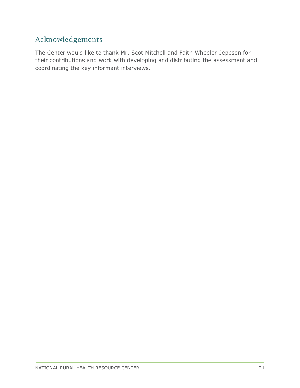### Acknowledgements

The Center would like to thank Mr. Scot Mitchell and Faith Wheeler-Jeppson for their contributions and work with developing and distributing the assessment and coordinating the key informant interviews.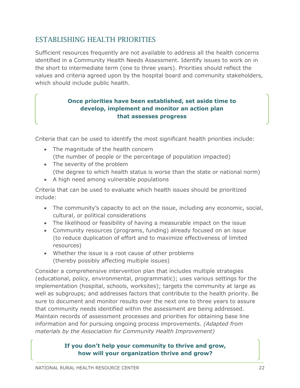### <span id="page-22-0"></span>ESTABLISHING HEALTH PRIORITIES

Sufficient resources frequently are not available to address all the health concerns identified in a Community Health Needs Assessment. Identify issues to work on in the short to intermediate term (one to three years). Priorities should reflect the values and criteria agreed upon by the hospital board and community stakeholders, which should include public health.

### **Once priorities have been established, set aside time to develop, implement and monitor an action plan that assesses progress**

Criteria that can be used to identify the most significant health priorities include:

- The magnitude of the health concern (the number of people or the percentage of population impacted)
- The severity of the problem (the degree to which health status is worse than the state or national norm)
- A high need among vulnerable populations

Criteria that can be used to evaluate which health issues should be prioritized include:

- The community's capacity to act on the issue, including any economic, social, cultural, or political considerations
- The likelihood or feasibility of having a measurable impact on the issue
- Community resources (programs, funding) already focused on an issue (to reduce duplication of effort and to maximize effectiveness of limited resources)
- Whether the issue is a root cause of other problems (thereby possibly affecting multiple issues)

Consider a comprehensive intervention plan that includes multiple strategies (educational, policy, environmental, programmatic); uses various settings for the implementation (hospital, schools, worksites); targets the community at large as well as subgroups; and addresses factors that contribute to the health priority. Be sure to document and monitor results over the next one to three years to assure that community needs identified within the assessment are being addressed. Maintain records of assessment processes and priorities for obtaining base line information and for pursuing ongoing process improvements. *(Adapted from materials by the Association for Community Health Improvement)* 

### **If you don't help your community to thrive and grow, how will your organization thrive and grow?**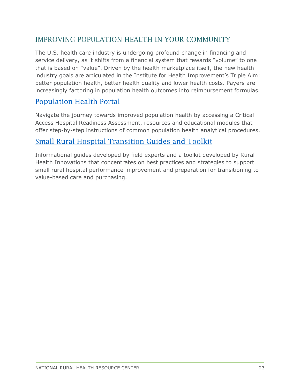### <span id="page-23-0"></span>IMPROVING POPULATION HEALTH IN YOUR COMMUNITY

The U.S. health care industry is undergoing profound change in financing and service delivery, as it shifts from a financial system that rewards "volume" to one that is based on "value". Driven by the health marketplace itself, the new health industry goals are articulated in the Institute for Health Improvement's Triple Aim: better population health, better health quality and lower health costs. Payers are increasingly factoring in population health outcomes into reimbursement formulas.

### [Population Health Portal](https://www.ruralcenter.org/population-health-portal)

Navigate the journey towards improved population health by accessing a Critical Access Hospital Readiness Assessment, resources and educational modules that offer step-by-step instructions of common population health analytical procedures.

### [Small Rural Hospital Transition Guides and Toolkit](https://www.ruralcenter.org/rhi/srhy/small-rural-hospital-transition-guides-and-toolkit)

Informational guides developed by field experts and a toolkit developed by Rural Health Innovations that concentrates on best practices and strategies to support small rural hospital performance improvement and preparation for transitioning to value-based care and purchasing.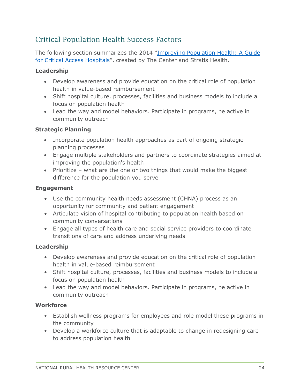### Critical Population Health Success Factors

The following section summarizes the 2014 "[Improving Population Health: A Guide](http://www.ruralcenter.org/tasc/resources/improving-population-health-guide-critical-access-hospitals)  [for Critical Access Hospitals](http://www.ruralcenter.org/tasc/resources/improving-population-health-guide-critical-access-hospitals)", created by The Center and Stratis Health.

#### **Leadership**

- Develop awareness and provide education on the critical role of population health in value-based reimbursement
- Shift hospital culture, processes, facilities and business models to include a focus on population health
- Lead the way and model behaviors. Participate in programs, be active in community outreach

#### **Strategic Planning**

- Incorporate population health approaches as part of ongoing strategic planning processes
- Engage multiple stakeholders and partners to coordinate strategies aimed at improving the population's health
- Prioritize what are the one or two things that would make the biggest difference for the population you serve

#### **Engagement**

- Use the community health needs assessment (CHNA) process as an opportunity for community and patient engagement
- Articulate vision of hospital contributing to population health based on community conversations
- Engage all types of health care and social service providers to coordinate transitions of care and address underlying needs

#### **Leadership**

- Develop awareness and provide education on the critical role of population health in value-based reimbursement
- Shift hospital culture, processes, facilities and business models to include a focus on population health
- Lead the way and model behaviors. Participate in programs, be active in community outreach

#### **Workforce**

- Establish wellness programs for employees and role model these programs in the community
- Develop a workforce culture that is adaptable to change in redesigning care to address population health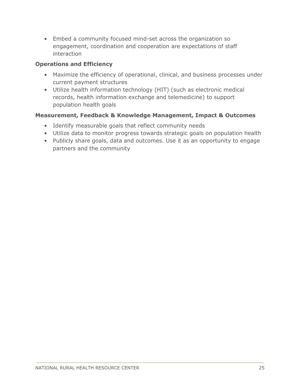• Embed a community focused mind-set across the organization so engagement, coordination and cooperation are expectations of staff interaction

#### **Operations and Efficiency**

- Maximize the efficiency of operational, clinical, and business processes under current payment structures
- Utilize health information technology (HIT) (such as electronic medical records, health information exchange and telemedicine) to support population health goals

#### **Measurement, Feedback & Knowledge Management, Impact & Outcomes**

- Identify measurable goals that reflect community needs
- Utilize data to monitor progress towards strategic goals on population health
- Publicly share goals, data and outcomes. Use it as an opportunity to engage partners and the community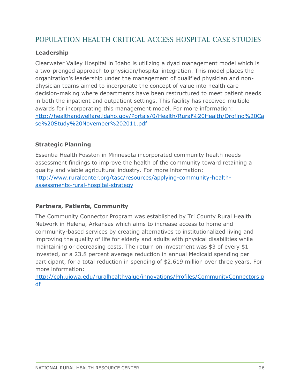### <span id="page-26-0"></span>POPULATION HEALTH CRITICAL ACCESS HOSPITAL CASE STUDIES

#### **Leadership**

Clearwater Valley Hospital in Idaho is utilizing a dyad management model which is a two-pronged approach to physician/hospital integration. This model places the organization's leadership under the management of qualified physician and nonphysician teams aimed to incorporate the concept of value into health care decision-making where departments have been restructured to meet patient needs in both the inpatient and outpatient settings. This facility has received multiple awards for incorporating this management model. For more information: [http://healthandwelfare.idaho.gov/Portals/0/Health/Rural%20Health/Orofino%20Ca](http://healthandwelfare.idaho.gov/Portals/0/Health/Rural%20Health/Orofino%20Case%20Study%20November%202011.pdf) [se%20Study%20November%202011.pdf](http://healthandwelfare.idaho.gov/Portals/0/Health/Rural%20Health/Orofino%20Case%20Study%20November%202011.pdf) 

#### **Strategic Planning**

Essentia Health Fosston in Minnesota incorporated community health needs assessment findings to improve the health of the community toward retaining a quality and viable agricultural industry. For more information: [http://www.ruralcenter.org/tasc/resources/applying-community-health](http://www.ruralcenter.org/tasc/resources/applying-community-health-assessments-rural-hospital-strategy)[assessments-rural-hospital-strategy](http://www.ruralcenter.org/tasc/resources/applying-community-health-assessments-rural-hospital-strategy) 

#### **Partners, Patients, Community**

The Community Connector Program was established by Tri County Rural Health Network in Helena, Arkansas which aims to increase access to home and community-based services by creating alternatives to institutionalized living and improving the quality of life for elderly and adults with physical disabilities while maintaining or decreasing costs. The return on investment was \$3 of every \$1 invested, or a 23.8 percent average reduction in annual Medicaid spending per participant, for a total reduction in spending of \$2.619 million over three years. For more information:

[http://cph.uiowa.edu/ruralhealthvalue/innovations/Profiles/CommunityConnectors.p](http://cph.uiowa.edu/ruralhealthvalue/innovations/Profiles/CommunityConnectors.pdf) [df](http://cph.uiowa.edu/ruralhealthvalue/innovations/Profiles/CommunityConnectors.pdf)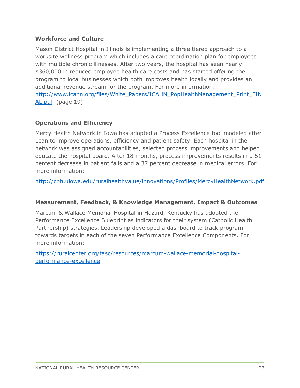#### **Workforce and Culture**

Mason District Hospital in Illinois is implementing a three tiered approach to a worksite wellness program which includes a care coordination plan for employees with multiple chronic illnesses. After two years, the hospital has seen nearly \$360,000 in reduced employee health care costs and has started offering the program to local businesses which both improves health locally and provides an additional revenue stream for the program. For more information: [http://www.icahn.org/files/White\\_Papers/ICAHN\\_PopHealthManagement\\_Print\\_FIN](http://www.icahn.org/files/White_Papers/ICAHN_PopHealthManagement_Print_FINAL.pdf) [AL.pdf](http://www.icahn.org/files/White_Papers/ICAHN_PopHealthManagement_Print_FINAL.pdf) (page 19)

#### **Operations and Efficiency**

Mercy Health Network in Iowa has adopted a Process Excellence tool modeled after Lean to improve operations, efficiency and patient safety. Each hospital in the network was assigned accountabilities, selected process improvements and helped educate the hospital board. After 18 months, process improvements results in a 51 percent decrease in patient falls and a 37 percent decrease in medical errors. For more information:

<http://cph.uiowa.edu/ruralhealthvalue/innovations/Profiles/MercyHealthNetwork.pdf>

#### **Measurement, Feedback, & Knowledge Management, Impact & Outcomes**

Marcum & Wallace Memorial Hospital in Hazard, Kentucky has adopted the Performance Excellence Blueprint as indicators for their system (Catholic Health Partnership) strategies. Leadership developed a dashboard to track program towards targets in each of the seven Performance Excellence Components. For more information:

[https://ruralcenter.org/tasc/resources/marcum-wallace-memorial-hospital](https://ruralcenter.org/tasc/resources/marcum-wallace-memorial-hospital-performance-excellence)[performance-excellence](https://ruralcenter.org/tasc/resources/marcum-wallace-memorial-hospital-performance-excellence)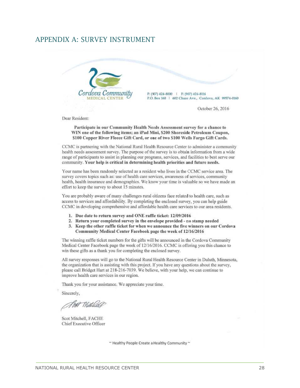#### <span id="page-28-0"></span>APPENDIX A: SURVEY INSTRUMENT



P: (907) 424-8000 | F: (907) 424-8116 P.O. Box 160 | 602 Chase Ave., Cordova, AK 99574-0160

October 26, 2016

Dear Resident:

Participate in our Community Health Needs Assessment survey for a chance to WIN one of the following items; an iPad Mini, \$200 Shoreside Petroleum Coupon, \$100 Copper River Fleece Gift Card, or one of two \$100 Wells Fargo Gift Cards.

CCMC is partnering with the National Rural Health Resource Center to administer a community health needs assessment survey. The purpose of the survey is to obtain information from a wide range of participants to assist in planning our programs, services, and facilities to best serve our community. Your help is critical in determining health priorities and future needs.

Your name has been randomly selected as a resident who lives in the CCMC service area. The survey covers topics such as: use of health care services, awareness of services, community health, health insurance and demographics. We know your time is valuable so we have made an effort to keep the survey to about 15 minutes.

You are probably aware of many challenges rural citizens face related to health care, such as access to services and affordability. By completing the enclosed survey, you can help guide CCMC in developing comprehensive and affordable health care services to our area residents.

- 1. Due date to return survey and ONE raffle ticket: 12/09/2016
- 2. Return your completed survey in the envelope provided no stamp needed
- 3. Keep the other raffle ticket for when we announce the five winners on our Cordova Community Medical Center Facebook page the week of 12/16/2016

The winning raffle ticket numbers for the gifts will be announced in the Cordova Community Medical Center Facebook page the week of 12/16/2016. CCMC is offering you this chance to win these gifts as a thank you for completing the enclosed survey.

All survey responses will go to the National Rural Health Resource Center in Duluth, Minnesota, the organization that is assisting with this project. If you have any questions about the survey, please call Bridget Hart at 218-216-7039. We believe, with your help, we can continue to improve health care services in our region.

Thank you for your assistance. We appreciate your time.

Sincerely,

Floot Mitchell

Scot Mitchell, FACHE Chief Executive Officer

~ Healthy People Create a Healthy Community ~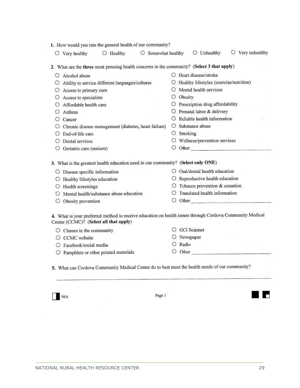| 1. How would you rate the general health of our community?                                  |                          |                  |                                                                                                                                                                                                                                |  |  |  |  |  |  |  |  |
|---------------------------------------------------------------------------------------------|--------------------------|------------------|--------------------------------------------------------------------------------------------------------------------------------------------------------------------------------------------------------------------------------|--|--|--|--|--|--|--|--|
| O Healthy<br>$\bigcirc$ Very healthy                                                        | $\circ$ Somewhat healthy |                  | Very unhealthy<br>O Unhealthy                                                                                                                                                                                                  |  |  |  |  |  |  |  |  |
| 2. What are the three most pressing health concerns in the community? (Select 3 that apply) |                          |                  |                                                                                                                                                                                                                                |  |  |  |  |  |  |  |  |
| O Alcohol abuse                                                                             |                          |                  | O Heart disease/stroke                                                                                                                                                                                                         |  |  |  |  |  |  |  |  |
| Ability to service different languages/cultures<br>О                                        |                          | O                | Healthy lifestyles (exercise/nutrition)                                                                                                                                                                                        |  |  |  |  |  |  |  |  |
| Access to primary care<br>O                                                                 |                          |                  | Mental health services                                                                                                                                                                                                         |  |  |  |  |  |  |  |  |
| Access to specialists<br>O                                                                  |                          | O                | Obesity                                                                                                                                                                                                                        |  |  |  |  |  |  |  |  |
| Affordable health care<br>O                                                                 |                          | О                | Prescription drug affordability                                                                                                                                                                                                |  |  |  |  |  |  |  |  |
| О<br>Asthma                                                                                 |                          |                  | O Prenatal labor & delivery                                                                                                                                                                                                    |  |  |  |  |  |  |  |  |
| Cancer<br>O                                                                                 |                          | О                | Reliable health information                                                                                                                                                                                                    |  |  |  |  |  |  |  |  |
| Chronic disease management (diabetes, heart failure)                                        |                          | O.               | Substance abuse                                                                                                                                                                                                                |  |  |  |  |  |  |  |  |
| End-of-life care<br>⊙                                                                       |                          | O                | Smoking                                                                                                                                                                                                                        |  |  |  |  |  |  |  |  |
| Dental services<br>$\cup$                                                                   |                          | O                | Wellness/prevention services                                                                                                                                                                                                   |  |  |  |  |  |  |  |  |
| Geriatric care (seniors)<br>O                                                               |                          |                  | $\circ$ Other                                                                                                                                                                                                                  |  |  |  |  |  |  |  |  |
| 3. What is the greatest health education need in our community? (Select only ONE)           |                          |                  |                                                                                                                                                                                                                                |  |  |  |  |  |  |  |  |
| O Disease specific information                                                              |                          | $\left( \right)$ | Oral/dental health education                                                                                                                                                                                                   |  |  |  |  |  |  |  |  |
| Healthy lifestyles education<br>O                                                           |                          | O                | Reproductive health education                                                                                                                                                                                                  |  |  |  |  |  |  |  |  |
| Health screenings<br>O                                                                      |                          | O                | Tobacco prevention & cessation                                                                                                                                                                                                 |  |  |  |  |  |  |  |  |
| Mental health/substance abuse education<br>$\circ$                                          |                          | $^{(1)}$         | Translated health information                                                                                                                                                                                                  |  |  |  |  |  |  |  |  |
| Obesity prevention<br>O                                                                     |                          | О                | Other contracts and the contract of the contract of the contract of the contract of the contract of the contract of the contract of the contract of the contract of the contract of the contract of the contract of the contra |  |  |  |  |  |  |  |  |
| Center (CCMC)? (Select all that apply)                                                      |                          |                  | 4. What is your preferred method to receive education on health issues through Cordova Community Medical                                                                                                                       |  |  |  |  |  |  |  |  |
| $\bigcirc$ Classes in the community                                                         |                          | $\circ$          | <b>GCI</b> Scanner                                                                                                                                                                                                             |  |  |  |  |  |  |  |  |
| <b>CCMC</b> website<br>O                                                                    |                          |                  | Newspaper                                                                                                                                                                                                                      |  |  |  |  |  |  |  |  |
| Facebook/social media                                                                       |                          |                  | Radio                                                                                                                                                                                                                          |  |  |  |  |  |  |  |  |
| $\bigcirc$ Pamphlets or other printed materials                                             |                          |                  | Other                                                                                                                                                                                                                          |  |  |  |  |  |  |  |  |

5. What can Cordova Community Medical Center do to best meet the health needs of our community?

 $\Box$  06A

Page 1

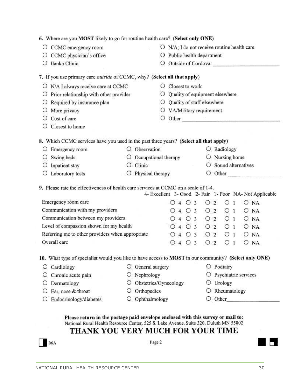| O<br>O<br>O<br>O                                 | CCMC emergency room<br>CCMC physician's office<br>Ilanka Clinic                                       |                            |                                | O               |                                                                                                                                                                                                                                                                 |   |                     |                            |                                |              |             | $\bigcirc$ N/A; I do not receive routine health care                                                                                                                                                                           |  |                                                        |
|--------------------------------------------------|-------------------------------------------------------------------------------------------------------|----------------------------|--------------------------------|-----------------|-----------------------------------------------------------------------------------------------------------------------------------------------------------------------------------------------------------------------------------------------------------------|---|---------------------|----------------------------|--------------------------------|--------------|-------------|--------------------------------------------------------------------------------------------------------------------------------------------------------------------------------------------------------------------------------|--|--------------------------------------------------------|
|                                                  |                                                                                                       |                            |                                |                 |                                                                                                                                                                                                                                                                 |   |                     |                            |                                |              |             |                                                                                                                                                                                                                                |  |                                                        |
|                                                  |                                                                                                       |                            |                                |                 | Public health department<br>Outside of Cordova: New York Street, New York Street, New York Street, New York Street, New York Street, New York Street, New York Street, New York Street, New York Street, New York Street, New York Street, New York Street<br>O |   |                     |                            |                                |              |             |                                                                                                                                                                                                                                |  |                                                        |
|                                                  |                                                                                                       |                            |                                |                 |                                                                                                                                                                                                                                                                 |   |                     |                            |                                |              |             |                                                                                                                                                                                                                                |  |                                                        |
|                                                  | 7. If you use primary care outside of CCMC, why? (Select all that apply)                              |                            |                                |                 |                                                                                                                                                                                                                                                                 |   |                     |                            |                                |              |             |                                                                                                                                                                                                                                |  |                                                        |
|                                                  | N/A I always receive care at CCMC<br>O                                                                |                            |                                | Closest to work |                                                                                                                                                                                                                                                                 |   |                     |                            |                                |              |             |                                                                                                                                                                                                                                |  |                                                        |
| Prior relationship with other provider<br>O<br>O |                                                                                                       |                            |                                |                 |                                                                                                                                                                                                                                                                 |   |                     |                            | Quality of equipment elsewhere |              |             |                                                                                                                                                                                                                                |  |                                                        |
| О                                                | Required by insurance plan                                                                            |                            |                                | О               |                                                                                                                                                                                                                                                                 |   |                     | Quality of staff elsewhere |                                |              |             |                                                                                                                                                                                                                                |  |                                                        |
| O                                                | More privacy                                                                                          |                            |                                | Ο               |                                                                                                                                                                                                                                                                 |   |                     | VA/Military requirement    |                                |              |             |                                                                                                                                                                                                                                |  |                                                        |
| O                                                | Cost of care                                                                                          |                            |                                | Ο               |                                                                                                                                                                                                                                                                 |   |                     |                            |                                |              |             | Other experiences and the contract of the contract of the contract of the contract of the contract of the contract of the contract of the contract of the contract of the contract of the contract of the contract of the cont |  |                                                        |
| O                                                | Closest to home                                                                                       |                            |                                |                 |                                                                                                                                                                                                                                                                 |   |                     |                            |                                |              |             |                                                                                                                                                                                                                                |  |                                                        |
|                                                  |                                                                                                       |                            |                                |                 |                                                                                                                                                                                                                                                                 |   |                     |                            |                                |              |             |                                                                                                                                                                                                                                |  |                                                        |
|                                                  | 8. Which CCMC services have you used in the past three years? (Select all that apply)                 |                            |                                |                 |                                                                                                                                                                                                                                                                 |   |                     |                            |                                |              |             |                                                                                                                                                                                                                                |  |                                                        |
| O                                                | Emergency room                                                                                        |                            | O Observation                  |                 |                                                                                                                                                                                                                                                                 |   |                     |                            |                                |              | O Radiology |                                                                                                                                                                                                                                |  |                                                        |
| O                                                | Swing beds                                                                                            | O                          | Occupational therapy<br>Clinic |                 |                                                                                                                                                                                                                                                                 |   |                     |                            |                                |              |             | O Nursing home<br>Sound alternatives                                                                                                                                                                                           |  |                                                        |
| O                                                | Inpatient stay                                                                                        | O                          |                                |                 |                                                                                                                                                                                                                                                                 |   |                     |                            | O<br>O                         |              |             | Other                                                                                                                                                                                                                          |  |                                                        |
| О                                                | Laboratory tests                                                                                      |                            | O Physical therapy             |                 |                                                                                                                                                                                                                                                                 |   |                     |                            |                                |              |             |                                                                                                                                                                                                                                |  |                                                        |
|                                                  | 9. Please rate the effectiveness of health care services at CCMC on a scale of 1-4.                   |                            |                                |                 |                                                                                                                                                                                                                                                                 |   |                     |                            |                                |              |             |                                                                                                                                                                                                                                |  |                                                        |
|                                                  |                                                                                                       |                            |                                |                 |                                                                                                                                                                                                                                                                 |   |                     |                            |                                |              |             |                                                                                                                                                                                                                                |  | 4- Excellent 3- Good 2- Fair 1- Poor NA-Not Applicable |
|                                                  | Emergency room care                                                                                   |                            |                                |                 |                                                                                                                                                                                                                                                                 |   | $O$ 4 $O$ 3         |                            | O 2                            |              | ⊖           | 1                                                                                                                                                                                                                              |  | O NA                                                   |
|                                                  | Communication with my providers                                                                       |                            |                                |                 | ⊖                                                                                                                                                                                                                                                               |   | $4$ O $3$           |                            | $\circ$ 2                      |              | $\circ$ 1   |                                                                                                                                                                                                                                |  | O NA                                                   |
|                                                  | Communication between my providers                                                                    |                            |                                |                 |                                                                                                                                                                                                                                                                 |   |                     | 040302                     |                                |              | $\circ$ 1   |                                                                                                                                                                                                                                |  | O NA                                                   |
|                                                  | Level of compassion shown for my health                                                               |                            |                                |                 |                                                                                                                                                                                                                                                                 |   |                     | 040302                     |                                |              | $\circ$ 1   |                                                                                                                                                                                                                                |  | O NA                                                   |
|                                                  | Referring me to other providers when appropriate                                                      |                            |                                |                 |                                                                                                                                                                                                                                                                 |   |                     | $O$ 4 $O$ 3                | O <sub>2</sub>                 |              | $\circ$ 1   |                                                                                                                                                                                                                                |  | O NA                                                   |
|                                                  | Overall care                                                                                          |                            |                                |                 |                                                                                                                                                                                                                                                                 |   | $\circ$ 4 $\circ$ 3 |                            | $\circ$ 2                      |              | О           | $\mathbf{1}$                                                                                                                                                                                                                   |  | O NA                                                   |
|                                                  | 10. What type of specialist would you like to have access to MOST in our community? (Select only ONE) |                            |                                |                 |                                                                                                                                                                                                                                                                 |   |                     |                            |                                |              |             |                                                                                                                                                                                                                                |  |                                                        |
| О                                                | Cardiology                                                                                            |                            | General surgery                |                 |                                                                                                                                                                                                                                                                 |   |                     |                            |                                |              | O Podiatry  |                                                                                                                                                                                                                                |  |                                                        |
| O                                                | Chronic acute pain                                                                                    | O                          | Nephrology                     |                 |                                                                                                                                                                                                                                                                 |   |                     |                            |                                |              |             | Psychiatric services                                                                                                                                                                                                           |  |                                                        |
| О                                                | Dermatology                                                                                           | Obstetrics/Gynecology<br>О |                                |                 |                                                                                                                                                                                                                                                                 | O |                     | Urology                    |                                |              |             |                                                                                                                                                                                                                                |  |                                                        |
| О                                                | Ear, nose & throat                                                                                    | О                          | Orthopedics                    |                 |                                                                                                                                                                                                                                                                 |   | О                   |                            |                                | Rheumatology |             |                                                                                                                                                                                                                                |  |                                                        |
| O                                                | Endocrinology/diabetes                                                                                | O                          | Ophthalmology                  |                 |                                                                                                                                                                                                                                                                 |   |                     |                            | Ο                              | Other        |             |                                                                                                                                                                                                                                |  |                                                        |

### THANK YOU VERY MUCH FOR YOUR TIME



Page 2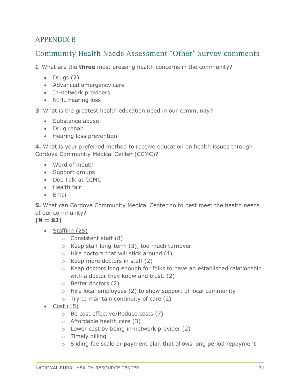### <span id="page-31-0"></span>APPENDIX B

### Community Health Needs Assessment "Other" Survey comments

**2**. What are the **three** most pressing health concerns in the community?

- $\bullet$  Drugs  $(2)$
- Advanced emergency care
- In-network providers
- NIHL hearing loss

#### **3**. What is the greatest health education need in our community?

- Substance abuse
- Drug rehab
- Hearing loss prevention

**4.** What is your preferred method to receive education on health issues through Cordova Community Medical Center (CCMC)?

- Word of mouth
- Support groups
- Doc Talk at CCMC
- Health fair
- $\bullet$  Fmail

**5.** What can Cordova Community Medical Center do to best meet the health needs of our community?

#### $(N = 82)$

- $\bullet$  Staffing (25)
	- o Consistent staff (8)
	- o Keep staff long-term (3), too much turnover
	- o Hire doctors that will stick around (4)
	- $\circ$  Keep more doctors in staff (2)
	- $\circ$  Keep doctors long enough for folks to have an established relationship with a doctor they know and trust. (2)
	- o Better doctors (2)
	- $\circ$  Hire local employees (2) to show support of local community
	- $\circ$  Try to maintain continuity of care (2)
- $\bullet$  Cost (15)
	- o Be cost effective/Reduce costs (7)
	- o Affordable health care (3)
	- o Lower cost by being in-network provider (2)
	- o Timely billing
	- o Sliding fee scale or payment plan that allows long period repayment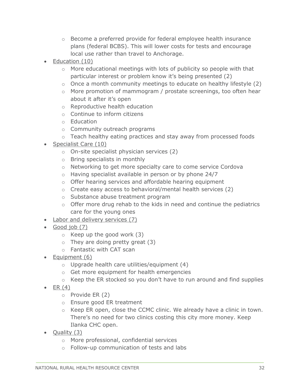- $\circ$  Become a preferred provide for federal employee health insurance plans (federal BCBS). This will lower costs for tests and encourage local use rather than travel to Anchorage.
- $\bullet$  Education  $(10)$ 
	- $\circ$  More educational meetings with lots of publicity so people with that particular interest or problem know it's being presented (2)
	- o Once a month community meetings to educate on healthy lifestyle (2)
	- o More promotion of mammogram / prostate screenings, too often hear about it after it's open
	- o Reproductive health education
	- o Continue to inform citizens
	- o Education
	- o Community outreach programs
	- $\circ$  Teach healthy eating practices and stay away from processed foods
- Specialist Care (10)
	- o On-site specialist physician services (2)
	- o Bring specialists in monthly
	- o Networking to get more specialty care to come service Cordova
	- o Having specialist available in person or by phone 24/7
	- o Offer hearing services and affordable hearing equipment
	- o Create easy access to behavioral/mental health services (2)
	- o Substance abuse treatment program
	- o Offer more drug rehab to the kids in need and continue the pediatrics care for the young ones
- Labor and delivery services (7)
- Good job (7)
	- $\circ$  Keep up the good work (3)
	- $\circ$  They are doing pretty great (3)
	- o Fantastic with CAT scan
- Equipment (6)
	- $\circ$  Upgrade health care utilities/equipment (4)
	- o Get more equipment for health emergencies
	- o Keep the ER stocked so you don't have to run around and find supplies
- $\bullet$  ER  $(4)$ 
	- o Provide ER (2)
	- o Ensure good ER treatment
	- o Keep ER open, close the CCMC clinic. We already have a clinic in town. There's no need for two clinics costing this city more money. Keep Ilanka CHC open.
- Quality  $(3)$ 
	- o More professional, confidential services
	- o Follow-up communication of tests and labs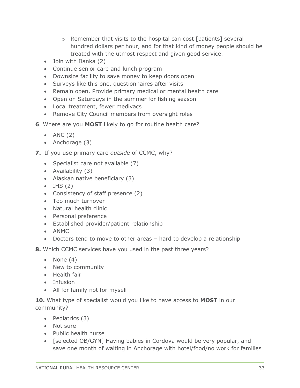- o Remember that visits to the hospital can cost [patients] several hundred dollars per hour, and for that kind of money people should be treated with the utmost respect and given good service.
- Join with Ilanka (2)
- Continue senior care and lunch program
- Downsize facility to save money to keep doors open
- Surveys like this one, questionnaires after visits
- Remain open. Provide primary medical or mental health care
- Open on Saturdays in the summer for fishing season
- Local treatment, fewer medivacs
- Remove City Council members from oversight roles
- **6**. Where are you **MOST** likely to go for routine health care?
	- $\bullet$  ANC (2)
	- Anchorage (3)
- **7.** If you use primary care *outside* of CCMC, why?
	- Specialist care not available (7)
	- Availability (3)
	- Alaskan native beneficiary (3)
	- $\bullet$  IHS (2)
	- Consistency of staff presence (2)
	- Too much turnover
	- Natural health clinic
	- Personal preference
	- Established provider/patient relationship
	- ANMC
	- Doctors tend to move to other areas hard to develop a relationship
- **8.** Which CCMC services have you used in the past three years?
	- None  $(4)$
	- New to community
	- Health fair
	- Infusion
	- All for family not for myself

**10.** What type of specialist would you like to have access to **MOST** in our community?

- $\bullet$  Pediatrics  $(3)$
- Not sure
- Public health nurse
- [selected OB/GYN] Having babies in Cordova would be very popular, and save one month of waiting in Anchorage with hotel/food/no work for families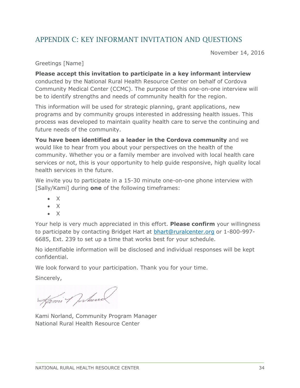### <span id="page-34-0"></span>APPENDIX C: KEY INFORMANT INVITATION AND QUESTIONS

November 14, 2016

Greetings [Name]

**Please accept this invitation to participate in a key informant interview** conducted by the National Rural Health Resource Center on behalf of Cordova Community Medical Center (CCMC). The purpose of this one-on-one interview will be to identify strengths and needs of community health for the region.

This information will be used for strategic planning, grant applications, new programs and by community groups interested in addressing health issues. This process was developed to maintain quality health care to serve the continuing and future needs of the community.

**You have been identified as a leader in the Cordova community** and we would like to hear from you about your perspectives on the health of the community. Whether you or a family member are involved with local health care services or not, this is your opportunity to help guide responsive, high quality local health services in the future.

We invite you to participate in a 15-30 minute one-on-one phone interview with [Sally/Kami] during **one** of the following timeframes:

- $\bullet$  X
- $\bullet$  X
- $\bullet$  X

Your help is very much appreciated in this effort. **Please confirm** your willingness to participate by contacting Bridget Hart at [bhart@ruralcenter.org](mailto:bhart@ruralcenter.org) or 1-800-997- 6685, Ext. 239 to set up a time that works best for your schedule.

No identifiable information will be disclosed and individual responses will be kept confidential.

We look forward to your participation. Thank you for your time.

Sincerely,

Kami 1 Jorkund

Kami Norland, Community Program Manager National Rural Health Resource Center